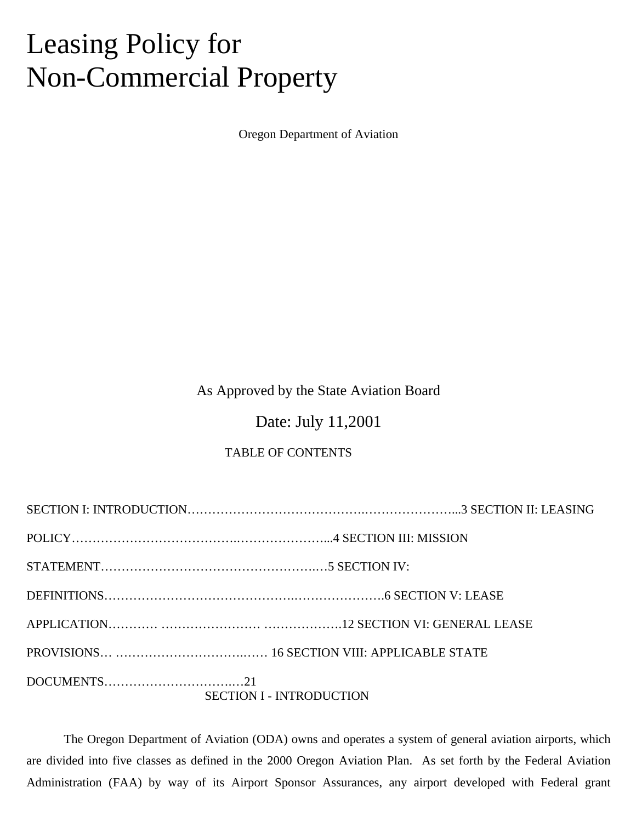# Leasing Policy for Non-Commercial Property

Oregon Department of Aviation

# As Approved by the State Aviation Board

# Date: July 11,2001

## TABLE OF CONTENTS

| <b>SECTION I - INTRODUCTION</b> |
|---------------------------------|

The Oregon Department of Aviation (ODA) owns and operates a system of general aviation airports, which are divided into five classes as defined in the 2000 Oregon Aviation Plan. As set forth by the Federal Aviation Administration (FAA) by way of its Airport Sponsor Assurances, any airport developed with Federal grant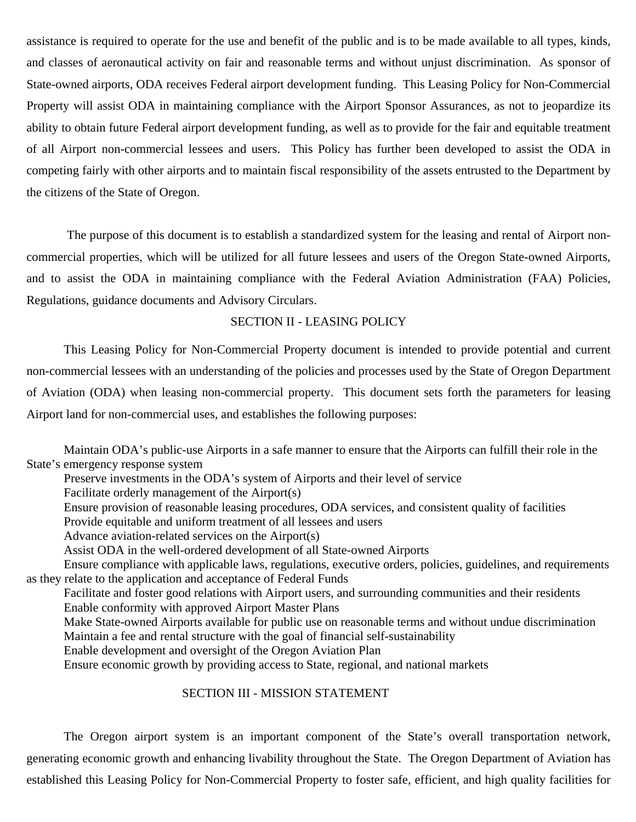assistance is required to operate for the use and benefit of the public and is to be made available to all types, kinds, and classes of aeronautical activity on fair and reasonable terms and without unjust discrimination. As sponsor of State-owned airports, ODA receives Federal airport development funding. This Leasing Policy for Non-Commercial Property will assist ODA in maintaining compliance with the Airport Sponsor Assurances, as not to jeopardize its ability to obtain future Federal airport development funding, as well as to provide for the fair and equitable treatment of all Airport non-commercial lessees and users. This Policy has further been developed to assist the ODA in competing fairly with other airports and to maintain fiscal responsibility of the assets entrusted to the Department by the citizens of the State of Oregon.

The purpose of this document is to establish a standardized system for the leasing and rental of Airport noncommercial properties, which will be utilized for all future lessees and users of the Oregon State-owned Airports, and to assist the ODA in maintaining compliance with the Federal Aviation Administration (FAA) Policies, Regulations, guidance documents and Advisory Circulars.

#### SECTION II - LEASING POLICY

This Leasing Policy for Non-Commercial Property document is intended to provide potential and current non-commercial lessees with an understanding of the policies and processes used by the State of Oregon Department of Aviation (ODA) when leasing non-commercial property. This document sets forth the parameters for leasing Airport land for non-commercial uses, and establishes the following purposes:

Maintain ODA's public-use Airports in a safe manner to ensure that the Airports can fulfill their role in the State's emergency response system

Preserve investments in the ODA's system of Airports and their level of service

Facilitate orderly management of the Airport(s)

Ensure provision of reasonable leasing procedures, ODA services, and consistent quality of facilities

Provide equitable and uniform treatment of all lessees and users

Advance aviation-related services on the Airport(s)

Assist ODA in the well-ordered development of all State-owned Airports

Ensure compliance with applicable laws, regulations, executive orders, policies, guidelines, and requirements as they relate to the application and acceptance of Federal Funds

Facilitate and foster good relations with Airport users, and surrounding communities and their residents Enable conformity with approved Airport Master Plans

Make State-owned Airports available for public use on reasonable terms and without undue discrimination Maintain a fee and rental structure with the goal of financial self-sustainability

Enable development and oversight of the Oregon Aviation Plan

Ensure economic growth by providing access to State, regional, and national markets

#### SECTION III - MISSION STATEMENT

The Oregon airport system is an important component of the State's overall transportation network, generating economic growth and enhancing livability throughout the State. The Oregon Department of Aviation has established this Leasing Policy for Non-Commercial Property to foster safe, efficient, and high quality facilities for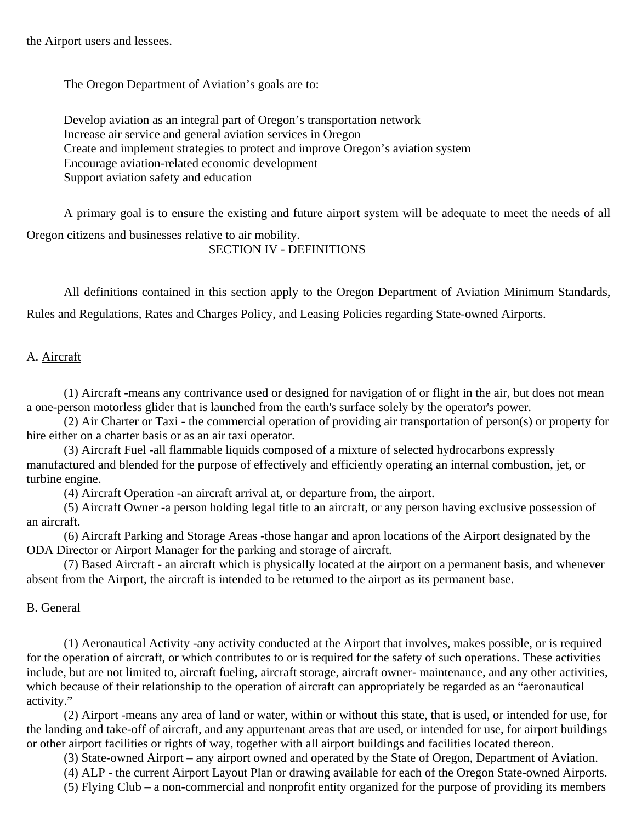the Airport users and lessees.

The Oregon Department of Aviation's goals are to:

Develop aviation as an integral part of Oregon's transportation network Increase air service and general aviation services in Oregon Create and implement strategies to protect and improve Oregon's aviation system Encourage aviation-related economic development Support aviation safety and education

A primary goal is to ensure the existing and future airport system will be adequate to meet the needs of all Oregon citizens and businesses relative to air mobility. SECTION IV - DEFINITIONS

All definitions contained in this section apply to the Oregon Department of Aviation Minimum Standards,

Rules and Regulations, Rates and Charges Policy, and Leasing Policies regarding State-owned Airports.

#### A. Aircraft

(1) Aircraft -means any contrivance used or designed for navigation of or flight in the air, but does not mean a one-person motorless glider that is launched from the earth's surface solely by the operator's power.

(2) Air Charter or Taxi - the commercial operation of providing air transportation of person(s) or property for hire either on a charter basis or as an air taxi operator.

(3) Aircraft Fuel -all flammable liquids composed of a mixture of selected hydrocarbons expressly manufactured and blended for the purpose of effectively and efficiently operating an internal combustion, jet, or turbine engine.

(4) Aircraft Operation -an aircraft arrival at, or departure from, the airport.

(5) Aircraft Owner -a person holding legal title to an aircraft, or any person having exclusive possession of an aircraft.

(6) Aircraft Parking and Storage Areas -those hangar and apron locations of the Airport designated by the ODA Director or Airport Manager for the parking and storage of aircraft.

(7) Based Aircraft - an aircraft which is physically located at the airport on a permanent basis, and whenever absent from the Airport, the aircraft is intended to be returned to the airport as its permanent base.

B. General

(1) Aeronautical Activity -any activity conducted at the Airport that involves, makes possible, or is required for the operation of aircraft, or which contributes to or is required for the safety of such operations. These activities include, but are not limited to, aircraft fueling, aircraft storage, aircraft owner- maintenance, and any other activities, which because of their relationship to the operation of aircraft can appropriately be regarded as an "aeronautical activity."

(2) Airport -means any area of land or water, within or without this state, that is used, or intended for use, for the landing and take-off of aircraft, and any appurtenant areas that are used, or intended for use, for airport buildings or other airport facilities or rights of way, together with all airport buildings and facilities located thereon.

(3) State-owned Airport – any airport owned and operated by the State of Oregon, Department of Aviation.

(4) ALP - the current Airport Layout Plan or drawing available for each of the Oregon State-owned Airports.

(5) Flying Club – a non-commercial and nonprofit entity organized for the purpose of providing its members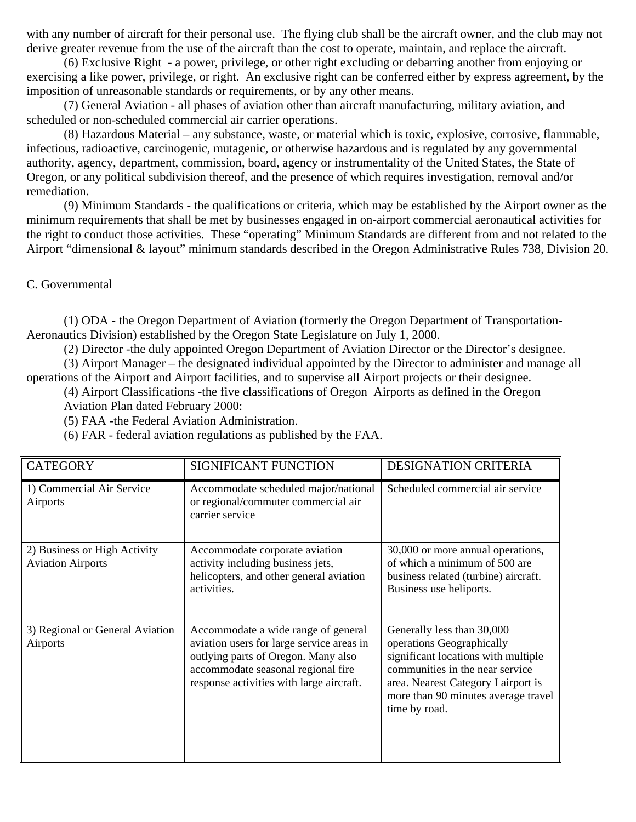with any number of aircraft for their personal use. The flying club shall be the aircraft owner, and the club may not derive greater revenue from the use of the aircraft than the cost to operate, maintain, and replace the aircraft.

(6) Exclusive Right - a power, privilege, or other right excluding or debarring another from enjoying or exercising a like power, privilege, or right. An exclusive right can be conferred either by express agreement, by the imposition of unreasonable standards or requirements, or by any other means.

(7) General Aviation - all phases of aviation other than aircraft manufacturing, military aviation, and scheduled or non-scheduled commercial air carrier operations.

(8) Hazardous Material – any substance, waste, or material which is toxic, explosive, corrosive, flammable, infectious, radioactive, carcinogenic, mutagenic, or otherwise hazardous and is regulated by any governmental authority, agency, department, commission, board, agency or instrumentality of the United States, the State of Oregon, or any political subdivision thereof, and the presence of which requires investigation, removal and/or remediation.

(9) Minimum Standards - the qualifications or criteria, which may be established by the Airport owner as the minimum requirements that shall be met by businesses engaged in on-airport commercial aeronautical activities for the right to conduct those activities. These "operating" Minimum Standards are different from and not related to the Airport "dimensional & layout" minimum standards described in the Oregon Administrative Rules 738, Division 20.

#### C. Governmental

(1) ODA - the Oregon Department of Aviation (formerly the Oregon Department of Transportation-Aeronautics Division) established by the Oregon State Legislature on July 1, 2000.

(2) Director -the duly appointed Oregon Department of Aviation Director or the Director's designee.

(3) Airport Manager – the designated individual appointed by the Director to administer and manage all operations of the Airport and Airport facilities, and to supervise all Airport projects or their designee.

(4) Airport Classifications -the five classifications of Oregon Airports as defined in the Oregon Aviation Plan dated February 2000:

(5) FAA -the Federal Aviation Administration.

(6) FAR - federal aviation regulations as published by the FAA.

| <b>CATEGORY</b>                                          | <b>SIGNIFICANT FUNCTION</b>                                                                                                                                                                               | <b>DESIGNATION CRITERIA</b>                                                                                                                                                                                                      |
|----------------------------------------------------------|-----------------------------------------------------------------------------------------------------------------------------------------------------------------------------------------------------------|----------------------------------------------------------------------------------------------------------------------------------------------------------------------------------------------------------------------------------|
| 1) Commercial Air Service<br>Airports                    | Accommodate scheduled major/national<br>or regional/commuter commercial air<br>carrier service                                                                                                            | Scheduled commercial air service                                                                                                                                                                                                 |
| 2) Business or High Activity<br><b>Aviation Airports</b> | Accommodate corporate aviation<br>activity including business jets,<br>helicopters, and other general aviation<br>activities.                                                                             | 30,000 or more annual operations,<br>of which a minimum of 500 are<br>business related (turbine) aircraft.<br>Business use heliports.                                                                                            |
| 3) Regional or General Aviation<br>Airports              | Accommodate a wide range of general<br>aviation users for large service areas in<br>outlying parts of Oregon. Many also<br>accommodate seasonal regional fire<br>response activities with large aircraft. | Generally less than 30,000<br>operations Geographically<br>significant locations with multiple<br>communities in the near service<br>area. Nearest Category I airport is<br>more than 90 minutes average travel<br>time by road. |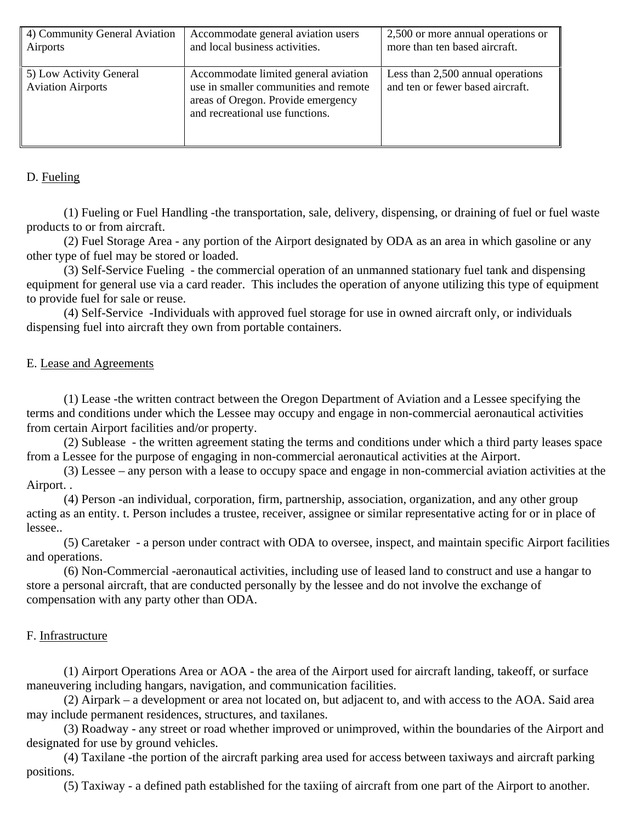| 4) Community General Aviation                       | Accommodate general aviation users                                                                                                                     | 2,500 or more annual operations or                                    |
|-----------------------------------------------------|--------------------------------------------------------------------------------------------------------------------------------------------------------|-----------------------------------------------------------------------|
| Airports                                            | and local business activities.                                                                                                                         | more than ten based aircraft.                                         |
| 5) Low Activity General<br><b>Aviation Airports</b> | Accommodate limited general aviation<br>use in smaller communities and remote<br>areas of Oregon. Provide emergency<br>and recreational use functions. | Less than 2,500 annual operations<br>and ten or fewer based aircraft. |

## D. Fueling

(1) Fueling or Fuel Handling -the transportation, sale, delivery, dispensing, or draining of fuel or fuel waste products to or from aircraft.

(2) Fuel Storage Area - any portion of the Airport designated by ODA as an area in which gasoline or any other type of fuel may be stored or loaded.

(3) Self-Service Fueling - the commercial operation of an unmanned stationary fuel tank and dispensing equipment for general use via a card reader. This includes the operation of anyone utilizing this type of equipment to provide fuel for sale or reuse.

(4) Self-Service -Individuals with approved fuel storage for use in owned aircraft only, or individuals dispensing fuel into aircraft they own from portable containers.

## E. Lease and Agreements

(1) Lease -the written contract between the Oregon Department of Aviation and a Lessee specifying the terms and conditions under which the Lessee may occupy and engage in non-commercial aeronautical activities from certain Airport facilities and/or property.

(2) Sublease - the written agreement stating the terms and conditions under which a third party leases space from a Lessee for the purpose of engaging in non-commercial aeronautical activities at the Airport.

(3) Lessee – any person with a lease to occupy space and engage in non-commercial aviation activities at the Airport. .

(4) Person -an individual, corporation, firm, partnership, association, organization, and any other group acting as an entity. t. Person includes a trustee, receiver, assignee or similar representative acting for or in place of lessee..

(5) Caretaker - a person under contract with ODA to oversee, inspect, and maintain specific Airport facilities and operations.

(6) Non-Commercial -aeronautical activities, including use of leased land to construct and use a hangar to store a personal aircraft, that are conducted personally by the lessee and do not involve the exchange of compensation with any party other than ODA.

## F. Infrastructure

(1) Airport Operations Area or AOA - the area of the Airport used for aircraft landing, takeoff, or surface maneuvering including hangars, navigation, and communication facilities.

(2) Airpark – a development or area not located on, but adjacent to, and with access to the AOA. Said area may include permanent residences, structures, and taxilanes.

(3) Roadway - any street or road whether improved or unimproved, within the boundaries of the Airport and designated for use by ground vehicles.

(4) Taxilane -the portion of the aircraft parking area used for access between taxiways and aircraft parking positions.

(5) Taxiway - a defined path established for the taxiing of aircraft from one part of the Airport to another.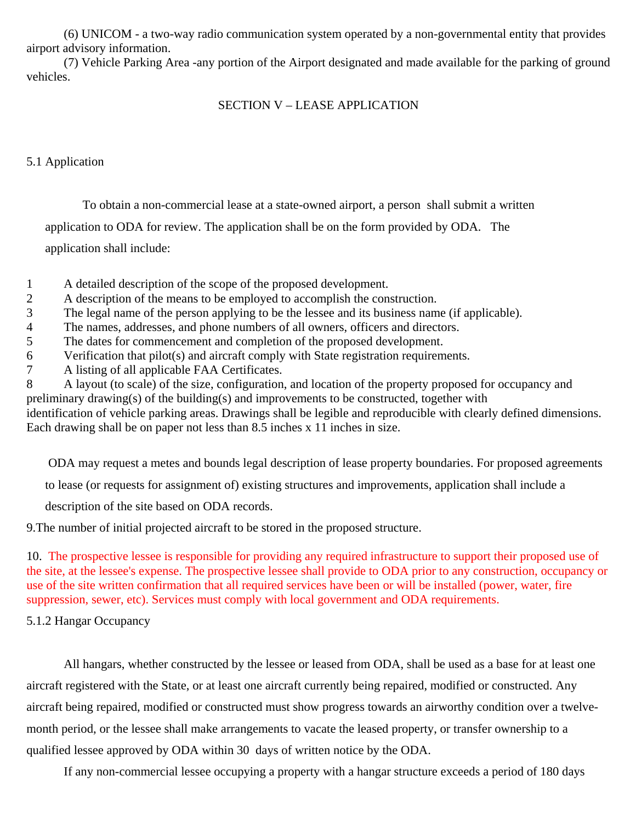(6) UNICOM - a two-way radio communication system operated by a non-governmental entity that provides airport advisory information.

(7) Vehicle Parking Area -any portion of the Airport designated and made available for the parking of ground vehicles.

# SECTION V – LEASE APPLICATION

### 5.1 Application

To obtain a non-commercial lease at a state-owned airport, a person shall submit a written application to ODA for review. The application shall be on the form provided by ODA. The

application shall include:

- 1 A detailed description of the scope of the proposed development.
- 2 A description of the means to be employed to accomplish the construction.
- 3 The legal name of the person applying to be the lessee and its business name (if applicable).
- 4 The names, addresses, and phone numbers of all owners, officers and directors.
- 5 The dates for commencement and completion of the proposed development.
- 6 Verification that pilot(s) and aircraft comply with State registration requirements.
- 7 A listing of all applicable FAA Certificates.

8 A layout (to scale) of the size, configuration, and location of the property proposed for occupancy and preliminary drawing(s) of the building(s) and improvements to be constructed, together with identification of vehicle parking areas. Drawings shall be legible and reproducible with clearly defined dimensions. Each drawing shall be on paper not less than 8.5 inches x 11 inches in size.

ODA may request a metes and bounds legal description of lease property boundaries. For proposed agreements

to lease (or requests for assignment of) existing structures and improvements, application shall include a

description of the site based on ODA records.

9.The number of initial projected aircraft to be stored in the proposed structure.

10. The prospective lessee is responsible for providing any required infrastructure to support their proposed use of the site, at the lessee's expense. The prospective lessee shall provide to ODA prior to any construction, occupancy or use of the site written confirmation that all required services have been or will be installed (power, water, fire suppression, sewer, etc). Services must comply with local government and ODA requirements.

5.1.2 Hangar Occupancy

All hangars, whether constructed by the lessee or leased from ODA, shall be used as a base for at least one aircraft registered with the State, or at least one aircraft currently being repaired, modified or constructed. Any aircraft being repaired, modified or constructed must show progress towards an airworthy condition over a twelvemonth period, or the lessee shall make arrangements to vacate the leased property, or transfer ownership to a qualified lessee approved by ODA within 30 days of written notice by the ODA.

If any non-commercial lessee occupying a property with a hangar structure exceeds a period of 180 days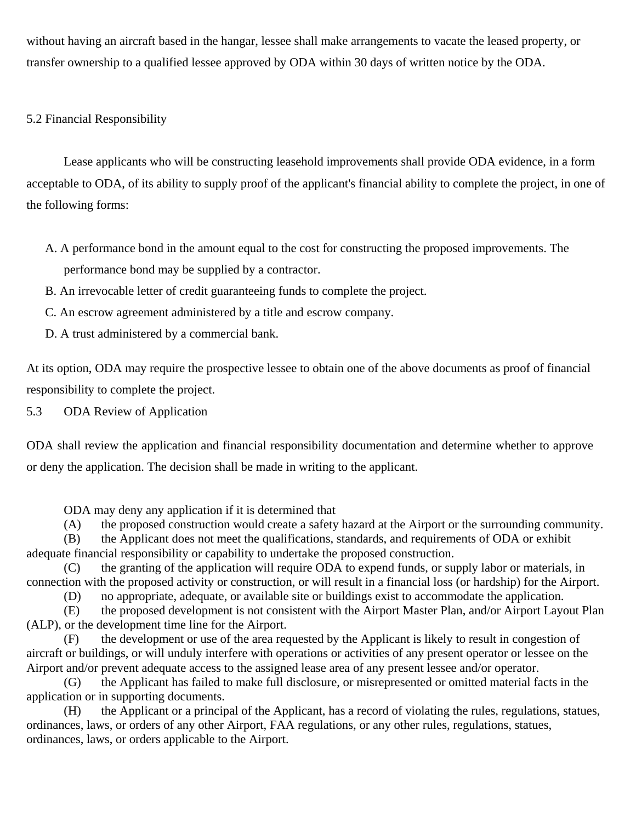without having an aircraft based in the hangar, lessee shall make arrangements to vacate the leased property, or transfer ownership to a qualified lessee approved by ODA within 30 days of written notice by the ODA.

## 5.2 Financial Responsibility

Lease applicants who will be constructing leasehold improvements shall provide ODA evidence, in a form acceptable to ODA, of its ability to supply proof of the applicant's financial ability to complete the project, in one of the following forms:

- A. A performance bond in the amount equal to the cost for constructing the proposed improvements. The performance bond may be supplied by a contractor.
- B. An irrevocable letter of credit guaranteeing funds to complete the project.
- C. An escrow agreement administered by a title and escrow company.
- D. A trust administered by a commercial bank.

At its option, ODA may require the prospective lessee to obtain one of the above documents as proof of financial responsibility to complete the project.

5.3 ODA Review of Application

ODA shall review the application and financial responsibility documentation and determine whether to approve or deny the application. The decision shall be made in writing to the applicant.

ODA may deny any application if it is determined that

(A) the proposed construction would create a safety hazard at the Airport or the surrounding community.

(B) the Applicant does not meet the qualifications, standards, and requirements of ODA or exhibit adequate financial responsibility or capability to undertake the proposed construction.

(C) the granting of the application will require ODA to expend funds, or supply labor or materials, in connection with the proposed activity or construction, or will result in a financial loss (or hardship) for the Airport.

(D) no appropriate, adequate, or available site or buildings exist to accommodate the application.

(E) the proposed development is not consistent with the Airport Master Plan, and/or Airport Layout Plan (ALP), or the development time line for the Airport.

(F) the development or use of the area requested by the Applicant is likely to result in congestion of aircraft or buildings, or will unduly interfere with operations or activities of any present operator or lessee on the Airport and/or prevent adequate access to the assigned lease area of any present lessee and/or operator.

(G) the Applicant has failed to make full disclosure, or misrepresented or omitted material facts in the application or in supporting documents.

(H) the Applicant or a principal of the Applicant, has a record of violating the rules, regulations, statues, ordinances, laws, or orders of any other Airport, FAA regulations, or any other rules, regulations, statues, ordinances, laws, or orders applicable to the Airport.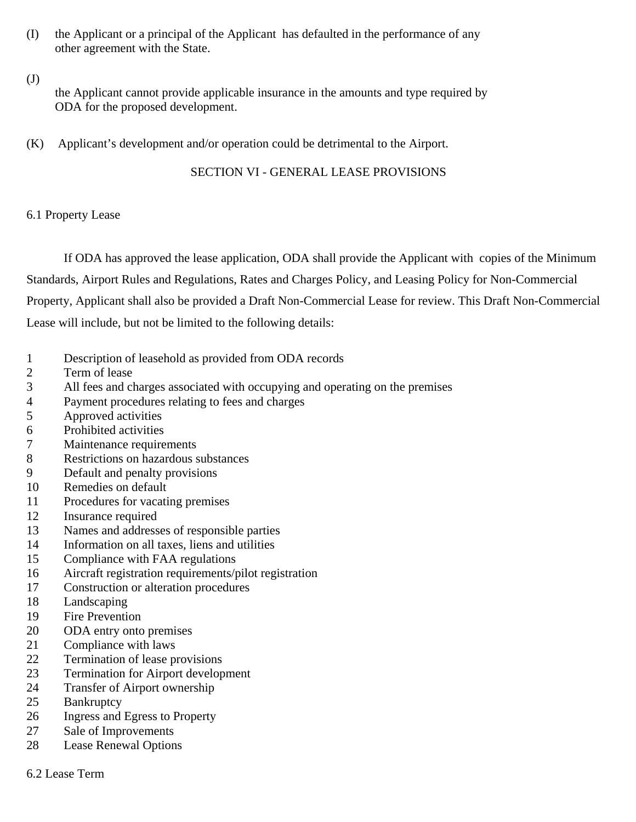- (I) the Applicant or a principal of the Applicant has defaulted in the performance of any other agreement with the State.
- (J)

the Applicant cannot provide applicable insurance in the amounts and type required by ODA for the proposed development.

(K) Applicant's development and/or operation could be detrimental to the Airport.

SECTION VI - GENERAL LEASE PROVISIONS

# 6.1 Property Lease

If ODA has approved the lease application, ODA shall provide the Applicant with copies of the Minimum Standards, Airport Rules and Regulations, Rates and Charges Policy, and Leasing Policy for Non-Commercial Property, Applicant shall also be provided a Draft Non-Commercial Lease for review. This Draft Non-Commercial Lease will include, but not be limited to the following details:

- Description of leasehold as provided from ODA records
- Term of lease
- All fees and charges associated with occupying and operating on the premises
- Payment procedures relating to fees and charges
- Approved activities
- Prohibited activities
- Maintenance requirements
- Restrictions on hazardous substances
- Default and penalty provisions
- Remedies on default
- Procedures for vacating premises
- Insurance required
- Names and addresses of responsible parties
- Information on all taxes, liens and utilities
- Compliance with FAA regulations
- Aircraft registration requirements/pilot registration
- Construction or alteration procedures
- Landscaping
- Fire Prevention
- ODA entry onto premises
- Compliance with laws
- Termination of lease provisions
- Termination for Airport development
- Transfer of Airport ownership
- Bankruptcy
- Ingress and Egress to Property
- Sale of Improvements
- Lease Renewal Options
- 6.2 Lease Term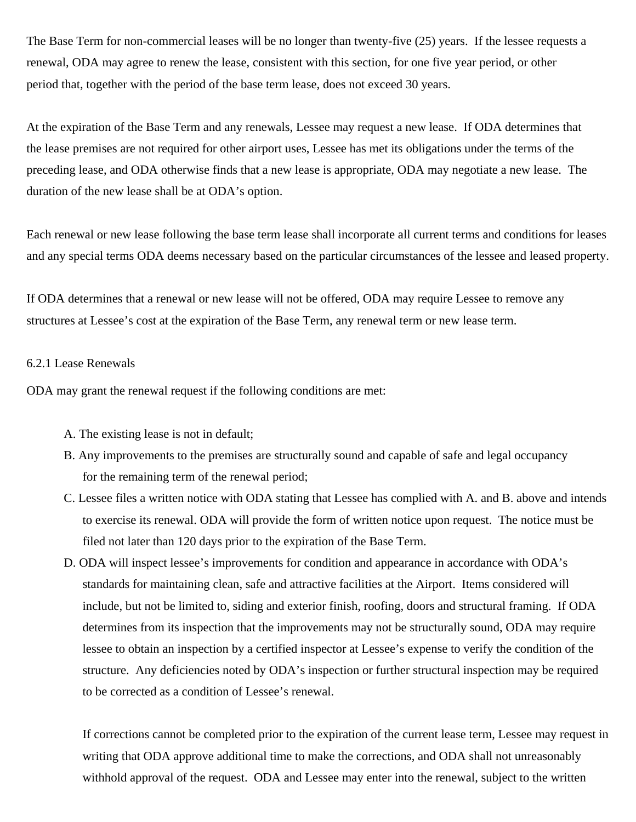The Base Term for non-commercial leases will be no longer than twenty-five (25) years. If the lessee requests a renewal, ODA may agree to renew the lease, consistent with this section, for one five year period, or other period that, together with the period of the base term lease, does not exceed 30 years.

At the expiration of the Base Term and any renewals, Lessee may request a new lease. If ODA determines that the lease premises are not required for other airport uses, Lessee has met its obligations under the terms of the preceding lease, and ODA otherwise finds that a new lease is appropriate, ODA may negotiate a new lease. The duration of the new lease shall be at ODA's option.

Each renewal or new lease following the base term lease shall incorporate all current terms and conditions for leases and any special terms ODA deems necessary based on the particular circumstances of the lessee and leased property.

If ODA determines that a renewal or new lease will not be offered, ODA may require Lessee to remove any structures at Lessee's cost at the expiration of the Base Term, any renewal term or new lease term.

#### 6.2.1 Lease Renewals

ODA may grant the renewal request if the following conditions are met:

- A. The existing lease is not in default;
- B. Any improvements to the premises are structurally sound and capable of safe and legal occupancy for the remaining term of the renewal period;
- C. Lessee files a written notice with ODA stating that Lessee has complied with A. and B. above and intends to exercise its renewal. ODA will provide the form of written notice upon request. The notice must be filed not later than 120 days prior to the expiration of the Base Term.
- D. ODA will inspect lessee's improvements for condition and appearance in accordance with ODA's standards for maintaining clean, safe and attractive facilities at the Airport. Items considered will include, but not be limited to, siding and exterior finish, roofing, doors and structural framing. If ODA determines from its inspection that the improvements may not be structurally sound, ODA may require lessee to obtain an inspection by a certified inspector at Lessee's expense to verify the condition of the structure. Any deficiencies noted by ODA's inspection or further structural inspection may be required to be corrected as a condition of Lessee's renewal.

If corrections cannot be completed prior to the expiration of the current lease term, Lessee may request in writing that ODA approve additional time to make the corrections, and ODA shall not unreasonably withhold approval of the request. ODA and Lessee may enter into the renewal, subject to the written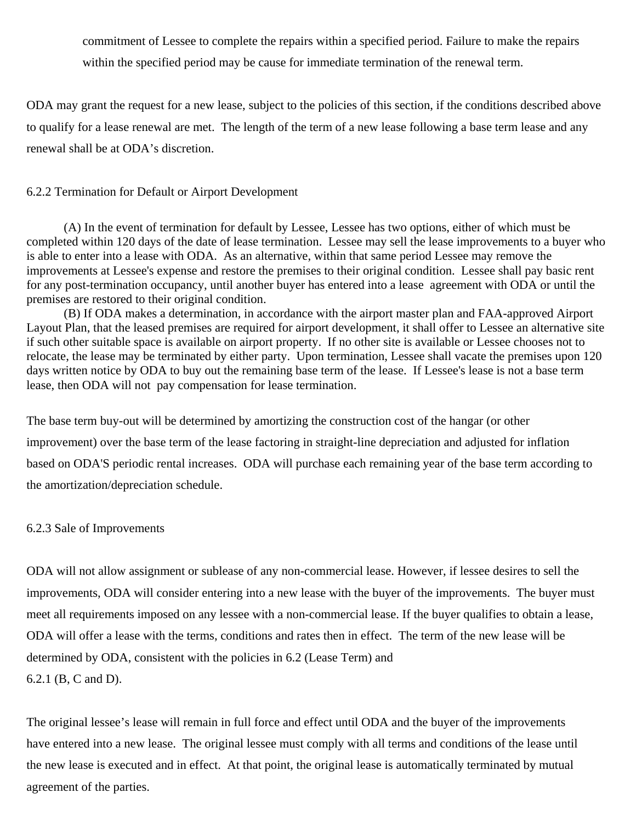commitment of Lessee to complete the repairs within a specified period. Failure to make the repairs within the specified period may be cause for immediate termination of the renewal term.

ODA may grant the request for a new lease, subject to the policies of this section, if the conditions described above to qualify for a lease renewal are met. The length of the term of a new lease following a base term lease and any renewal shall be at ODA's discretion.

#### 6.2.2 Termination for Default or Airport Development

(A) In the event of termination for default by Lessee, Lessee has two options, either of which must be completed within 120 days of the date of lease termination. Lessee may sell the lease improvements to a buyer who is able to enter into a lease with ODA. As an alternative, within that same period Lessee may remove the improvements at Lessee's expense and restore the premises to their original condition. Lessee shall pay basic rent for any post-termination occupancy, until another buyer has entered into a lease agreement with ODA or until the premises are restored to their original condition.

(B) If ODA makes a determination, in accordance with the airport master plan and FAA-approved Airport Layout Plan, that the leased premises are required for airport development, it shall offer to Lessee an alternative site if such other suitable space is available on airport property. If no other site is available or Lessee chooses not to relocate, the lease may be terminated by either party. Upon termination, Lessee shall vacate the premises upon 120 days written notice by ODA to buy out the remaining base term of the lease. If Lessee's lease is not a base term lease, then ODA will not pay compensation for lease termination.

The base term buy-out will be determined by amortizing the construction cost of the hangar (or other improvement) over the base term of the lease factoring in straight-line depreciation and adjusted for inflation based on ODA'S periodic rental increases. ODA will purchase each remaining year of the base term according to the amortization/depreciation schedule.

#### 6.2.3 Sale of Improvements

ODA will not allow assignment or sublease of any non-commercial lease. However, if lessee desires to sell the improvements, ODA will consider entering into a new lease with the buyer of the improvements. The buyer must meet all requirements imposed on any lessee with a non-commercial lease. If the buyer qualifies to obtain a lease, ODA will offer a lease with the terms, conditions and rates then in effect. The term of the new lease will be determined by ODA, consistent with the policies in 6.2 (Lease Term) and 6.2.1 (B, C and D).

The original lessee's lease will remain in full force and effect until ODA and the buyer of the improvements have entered into a new lease. The original lessee must comply with all terms and conditions of the lease until the new lease is executed and in effect. At that point, the original lease is automatically terminated by mutual agreement of the parties.